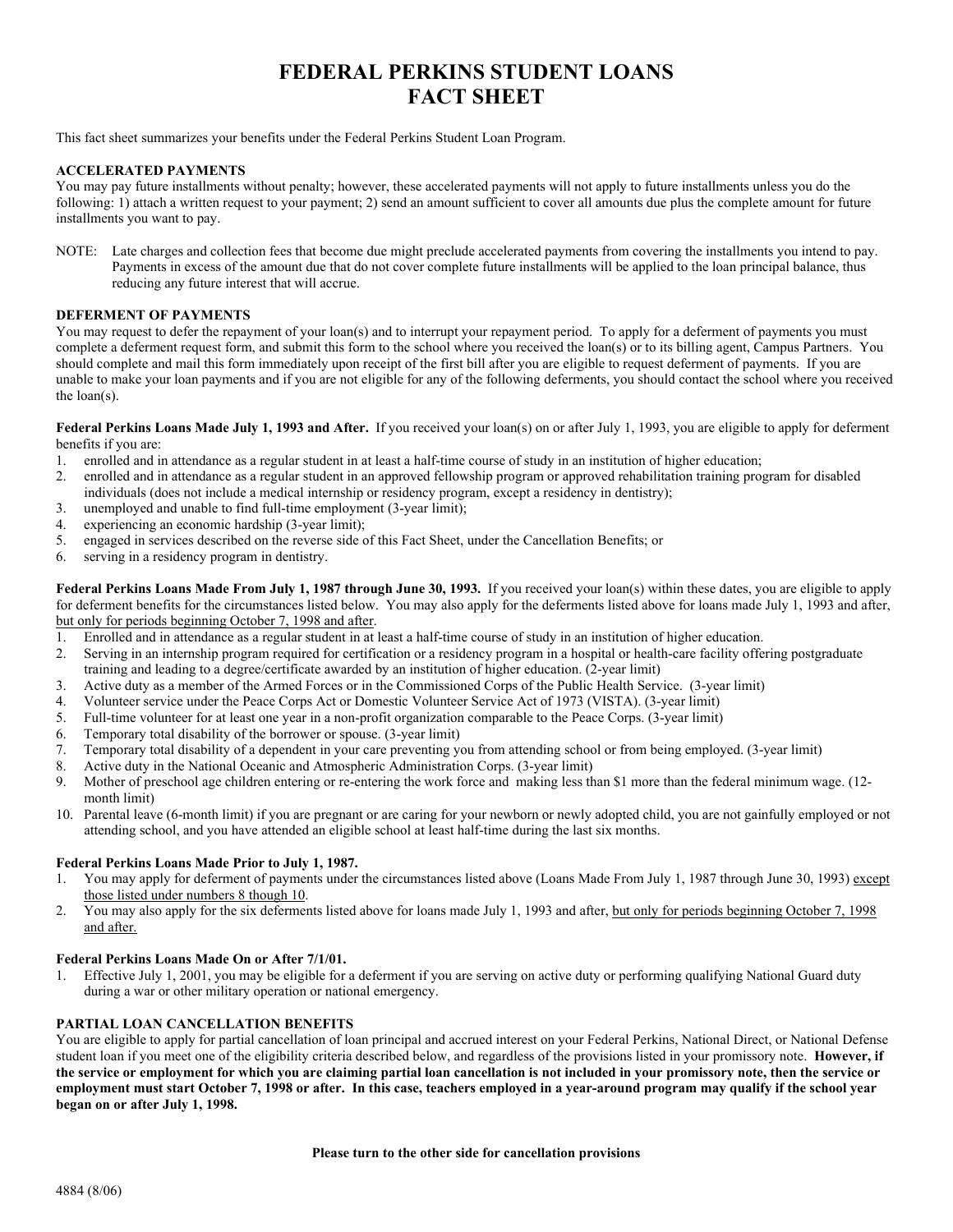# **FEDERAL PERKINS STUDENT LOANS FACT SHEET**

This fact sheet summarizes your benefits under the Federal Perkins Student Loan Program.

## **ACCELERATED PAYMENTS**

You may pay future installments without penalty; however, these accelerated payments will not apply to future installments unless you do the following: 1) attach a written request to your payment; 2) send an amount sufficient to cover all amounts due plus the complete amount for future installments you want to pay.

NOTE: Late charges and collection fees that become due might preclude accelerated payments from covering the installments you intend to pay. Payments in excess of the amount due that do not cover complete future installments will be applied to the loan principal balance, thus reducing any future interest that will accrue.

## **DEFERMENT OF PAYMENTS**

You may request to defer the repayment of your loan(s) and to interrupt your repayment period. To apply for a deferment of payments you must complete a deferment request form, and submit this form to the school where you received the loan(s) or to its billing agent, Campus Partners. You should complete and mail this form immediately upon receipt of the first bill after you are eligible to request deferment of payments. If you are unable to make your loan payments and if you are not eligible for any of the following deferments, you should contact the school where you received the loan(s).

**Federal Perkins Loans Made July 1, 1993 and After.** If you received your loan(s) on or after July 1, 1993, you are eligible to apply for deferment benefits if you are:

- 1. enrolled and in attendance as a regular student in at least a half-time course of study in an institution of higher education;
- 2. enrolled and in attendance as a regular student in an approved fellowship program or approved rehabilitation training program for disabled individuals (does not include a medical internship or residency program, except a residency in dentistry);
- 3. unemployed and unable to find full-time employment (3-year limit);
- 4. experiencing an economic hardship (3-year limit);
- 5. engaged in services described on the reverse side of this Fact Sheet, under the Cancellation Benefits; or
- 6. serving in a residency program in dentistry.

**Federal Perkins Loans Made From July 1, 1987 through June 30, 1993.** If you received your loan(s) within these dates, you are eligible to apply for deferment benefits for the circumstances listed below. You may also apply for the deferments listed above for loans made July 1, 1993 and after, but only for periods beginning October 7, 1998 and after.

- 1. Enrolled and in attendance as a regular student in at least a half-time course of study in an institution of higher education.
- 2. Serving in an internship program required for certification or a residency program in a hospital or health-care facility offering postgraduate training and leading to a degree/certificate awarded by an institution of higher education. (2-year limit)
- 3. Active duty as a member of the Armed Forces or in the Commissioned Corps of the Public Health Service. (3-year limit)
- 4. Volunteer service under the Peace Corps Act or Domestic Volunteer Service Act of 1973 (VISTA). (3-year limit)
- 5. Full-time volunteer for at least one year in a non-profit organization comparable to the Peace Corps. (3-year limit)
- 6. Temporary total disability of the borrower or spouse. (3-year limit)
- 7. Temporary total disability of a dependent in your care preventing you from attending school or from being employed. (3-year limit)
- 8. Active duty in the National Oceanic and Atmospheric Administration Corps. (3-year limit)
- 9. Mother of preschool age children entering or re-entering the work force and making less than \$1 more than the federal minimum wage. (12 month limit)
- 10. Parental leave (6-month limit) if you are pregnant or are caring for your newborn or newly adopted child, you are not gainfully employed or not attending school, and you have attended an eligible school at least half-time during the last six months.

#### **Federal Perkins Loans Made Prior to July 1, 1987.**

- 1. You may apply for deferment of payments under the circumstances listed above (Loans Made From July 1, 1987 through June 30, 1993) except those listed under numbers 8 though 10.
- 2. You may also apply for the six deferments listed above for loans made July 1, 1993 and after, but only for periods beginning October 7, 1998 and after.

#### **Federal Perkins Loans Made On or After 7/1/01.**

1. Effective July 1, 2001, you may be eligible for a deferment if you are serving on active duty or performing qualifying National Guard duty during a war or other military operation or national emergency.

## **PARTIAL LOAN CANCELLATION BENEFITS**

You are eligible to apply for partial cancellation of loan principal and accrued interest on your Federal Perkins, National Direct, or National Defense student loan if you meet one of the eligibility criteria described below, and regardless of the provisions listed in your promissory note. **However, if the service or employment for which you are claiming partial loan cancellation is not included in your promissory note, then the service or employment must start October 7, 1998 or after. In this case, teachers employed in a year-around program may qualify if the school year began on or after July 1, 1998.** 

#### **Please turn to the other side for cancellation provisions**